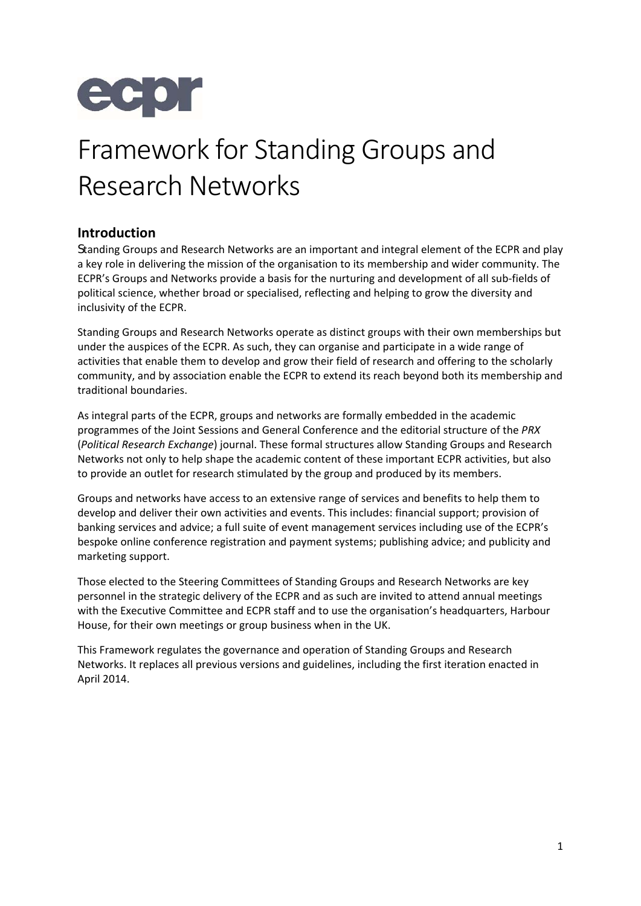

# Framework for Standing Groups and Research Networks

# **Introduction**

Standing Groups and Research Networks are an important and integral element of the ECPR and play a key role in delivering the mission of the organisation to its membership and wider community. The ECPR's Groups and Networks provide a basis for the nurturing and development of all sub‐fields of political science, whether broad or specialised, reflecting and helping to grow the diversity and inclusivity of the ECPR.

Standing Groups and Research Networks operate as distinct groups with their own memberships but under the auspices of the ECPR. As such, they can organise and participate in a wide range of activities that enable them to develop and grow their field of research and offering to the scholarly community, and by association enable the ECPR to extend its reach beyond both its membership and traditional boundaries.

As integral parts of the ECPR, groups and networks are formally embedded in the academic programmes of the Joint Sessions and General Conference and the editorial structure of the *PRX* (*Political Research Exchange*) journal. These formal structures allow Standing Groups and Research Networks not only to help shape the academic content of these important ECPR activities, but also to provide an outlet for research stimulated by the group and produced by its members.

Groups and networks have access to an extensive range of services and benefits to help them to develop and deliver their own activities and events. This includes: financial support; provision of banking services and advice; a full suite of event management services including use of the ECPR's bespoke online conference registration and payment systems; publishing advice; and publicity and marketing support.

Those elected to the Steering Committees of Standing Groups and Research Networks are key personnel in the strategic delivery of the ECPR and as such are invited to attend annual meetings with the Executive Committee and ECPR staff and to use the organisation's headquarters, Harbour House, for their own meetings or group business when in the UK.

This Framework regulates the governance and operation of Standing Groups and Research Networks. It replaces all previous versions and guidelines, including the first iteration enacted in April 2014.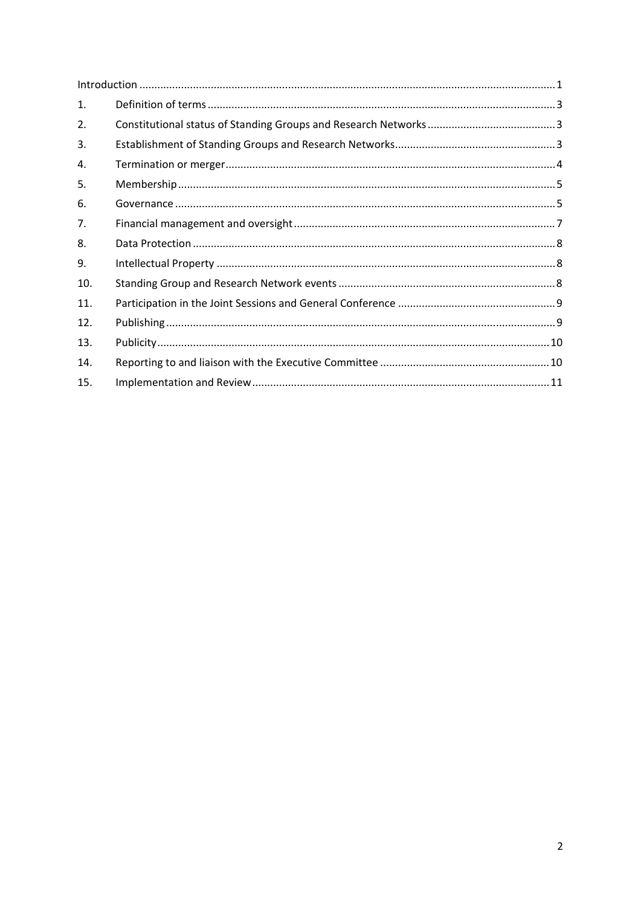| 1.  |  |  |
|-----|--|--|
| 2.  |  |  |
| 3.  |  |  |
| 4.  |  |  |
| 5.  |  |  |
| 6.  |  |  |
| 7.  |  |  |
| 8.  |  |  |
| 9.  |  |  |
| 10. |  |  |
| 11. |  |  |
| 12. |  |  |
| 13. |  |  |
| 14. |  |  |
| 15. |  |  |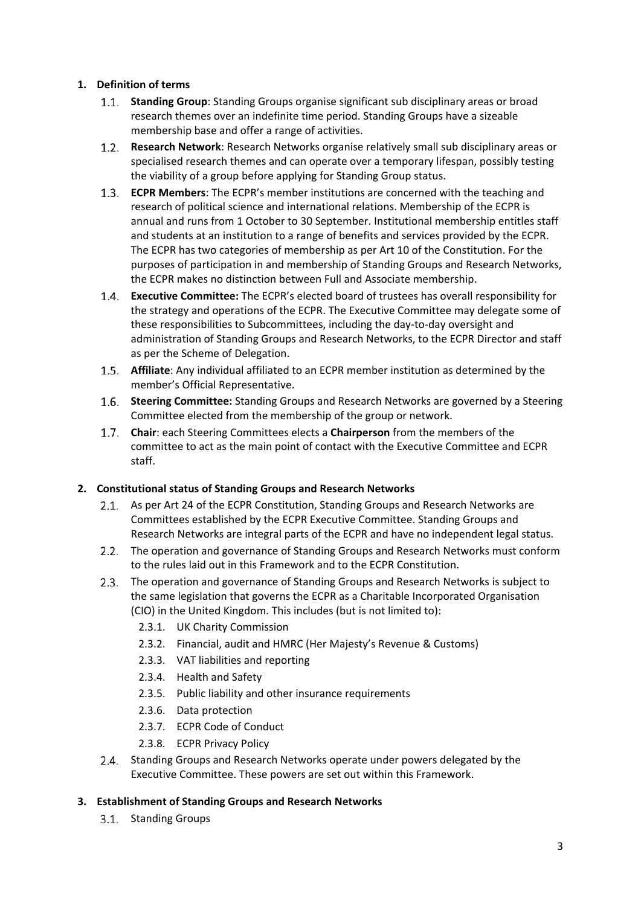# **1. Definition of terms**

- **Standing Group**: Standing Groups organise significant sub disciplinary areas or broad research themes over an indefinite time period. Standing Groups have a sizeable membership base and offer a range of activities.
- $1.2.$ **Research Network**: Research Networks organise relatively small sub disciplinary areas or specialised research themes and can operate over a temporary lifespan, possibly testing the viability of a group before applying for Standing Group status.
- **ECPR Members**: The ECPR's member institutions are concerned with the teaching and research of political science and international relations. Membership of the ECPR is annual and runs from 1 October to 30 September. Institutional membership entitles staff and students at an institution to a range of benefits and services provided by the ECPR. The ECPR has two categories of membership as per Art 10 of the Constitution. For the purposes of participation in and membership of Standing Groups and Research Networks, the ECPR makes no distinction between Full and Associate membership.
- **Executive Committee:** The ECPR's elected board of trustees has overall responsibility for the strategy and operations of the ECPR. The Executive Committee may delegate some of these responsibilities to Subcommittees, including the day‐to‐day oversight and administration of Standing Groups and Research Networks, to the ECPR Director and staff as per the Scheme of Delegation.
- **Affiliate**: Any individual affiliated to an ECPR member institution as determined by the member's Official Representative.
- **Steering Committee:** Standing Groups and Research Networks are governed by a Steering Committee elected from the membership of the group or network.
- **Chair**: each Steering Committees elects a **Chairperson** from the members of the committee to act as the main point of contact with the Executive Committee and ECPR staff.

# **2. Constitutional status of Standing Groups and Research Networks**

- 2.1. As per Art 24 of the ECPR Constitution, Standing Groups and Research Networks are Committees established by the ECPR Executive Committee. Standing Groups and Research Networks are integral parts of the ECPR and have no independent legal status.
- The operation and governance of Standing Groups and Research Networks must conform to the rules laid out in this Framework and to the ECPR Constitution.
- 2.3. The operation and governance of Standing Groups and Research Networks is subject to the same legislation that governs the ECPR as a Charitable Incorporated Organisation (CIO) in the United Kingdom. This includes (but is not limited to):
	- 2.3.1. UK Charity Commission
	- 2.3.2. Financial, audit and HMRC (Her Majesty's Revenue & Customs)
	- 2.3.3. VAT liabilities and reporting
	- 2.3.4. Health and Safety
	- 2.3.5. Public liability and other insurance requirements
	- 2.3.6. Data protection
	- 2.3.7. ECPR Code of Conduct
	- 2.3.8. ECPR Privacy Policy
- 2.4. Standing Groups and Research Networks operate under powers delegated by the Executive Committee. These powers are set out within this Framework.

## **3. Establishment of Standing Groups and Research Networks**

3.1. Standing Groups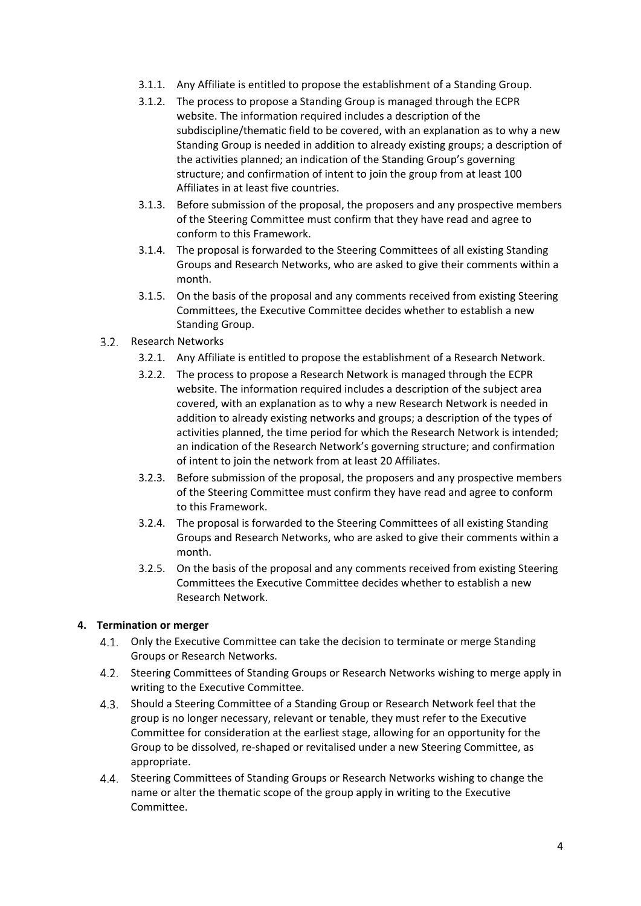- 3.1.1. Any Affiliate is entitled to propose the establishment of a Standing Group.
- 3.1.2. The process to propose a Standing Group is managed through the ECPR website. The information required includes a description of the subdiscipline/thematic field to be covered, with an explanation as to why a new Standing Group is needed in addition to already existing groups; a description of the activities planned; an indication of the Standing Group's governing structure; and confirmation of intent to join the group from at least 100 Affiliates in at least five countries.
- 3.1.3. Before submission of the proposal, the proposers and any prospective members of the Steering Committee must confirm that they have read and agree to conform to this Framework.
- 3.1.4. The proposal is forwarded to the Steering Committees of all existing Standing Groups and Research Networks, who are asked to give their comments within a month.
- 3.1.5. On the basis of the proposal and any comments received from existing Steering Committees, the Executive Committee decides whether to establish a new Standing Group.

### 3.2. Research Networks

- 3.2.1. Any Affiliate is entitled to propose the establishment of a Research Network.
- 3.2.2. The process to propose a Research Network is managed through the ECPR website. The information required includes a description of the subject area covered, with an explanation as to why a new Research Network is needed in addition to already existing networks and groups; a description of the types of activities planned, the time period for which the Research Network is intended; an indication of the Research Network's governing structure; and confirmation of intent to join the network from at least 20 Affiliates.
- 3.2.3. Before submission of the proposal, the proposers and any prospective members of the Steering Committee must confirm they have read and agree to conform to this Framework.
- 3.2.4. The proposal is forwarded to the Steering Committees of all existing Standing Groups and Research Networks, who are asked to give their comments within a month.
- 3.2.5. On the basis of the proposal and any comments received from existing Steering Committees the Executive Committee decides whether to establish a new Research Network.

#### **4. Termination or merger**

- 4.1. Only the Executive Committee can take the decision to terminate or merge Standing Groups or Research Networks.
- Steering Committees of Standing Groups or Research Networks wishing to merge apply in 4.2. writing to the Executive Committee.
- Should a Steering Committee of a Standing Group or Research Network feel that the group is no longer necessary, relevant or tenable, they must refer to the Executive Committee for consideration at the earliest stage, allowing for an opportunity for the Group to be dissolved, re‐shaped or revitalised under a new Steering Committee, as appropriate.
- 4.4. Steering Committees of Standing Groups or Research Networks wishing to change the name or alter the thematic scope of the group apply in writing to the Executive Committee.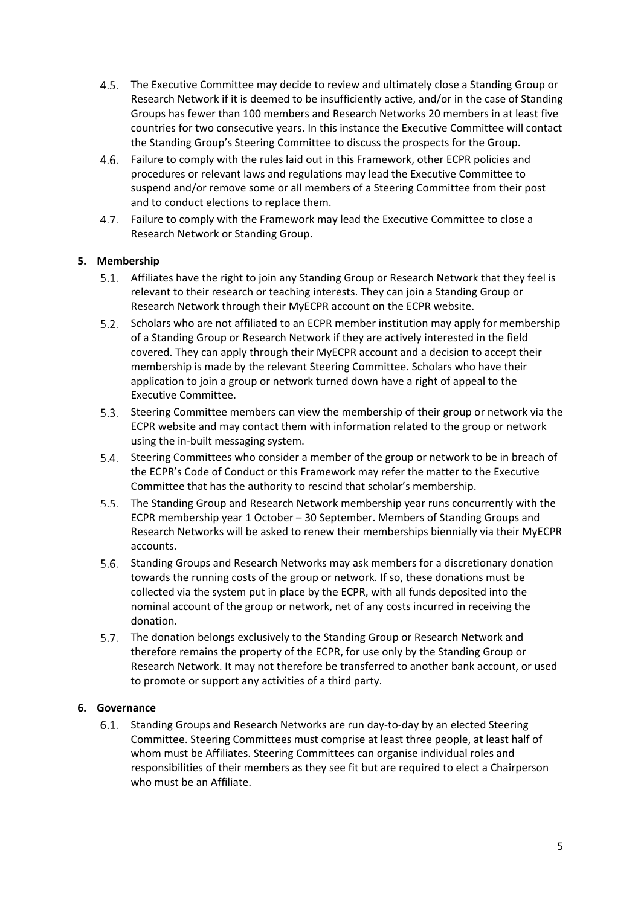- The Executive Committee may decide to review and ultimately close a Standing Group or Research Network if it is deemed to be insufficiently active, and/or in the case of Standing Groups has fewer than 100 members and Research Networks 20 members in at least five countries for two consecutive years. In this instance the Executive Committee will contact the Standing Group's Steering Committee to discuss the prospects for the Group.
- Failure to comply with the rules laid out in this Framework, other ECPR policies and 4.6. procedures or relevant laws and regulations may lead the Executive Committee to suspend and/or remove some or all members of a Steering Committee from their post and to conduct elections to replace them.
- Failure to comply with the Framework may lead the Executive Committee to close a  $4.7.$ Research Network or Standing Group.

# **5. Membership**

- Affiliates have the right to join any Standing Group or Research Network that they feel is relevant to their research or teaching interests. They can join a Standing Group or Research Network through their MyECPR account on the ECPR website.
- 5.2. Scholars who are not affiliated to an ECPR member institution may apply for membership of a Standing Group or Research Network if they are actively interested in the field covered. They can apply through their MyECPR account and a decision to accept their membership is made by the relevant Steering Committee. Scholars who have their application to join a group or network turned down have a right of appeal to the Executive Committee.
- Steering Committee members can view the membership of their group or network via the ECPR website and may contact them with information related to the group or network using the in‐built messaging system.
- Steering Committees who consider a member of the group or network to be in breach of 5.4. the ECPR's Code of Conduct or this Framework may refer the matter to the Executive Committee that has the authority to rescind that scholar's membership.
- The Standing Group and Research Network membership year runs concurrently with the ECPR membership year 1 October – 30 September. Members of Standing Groups and Research Networks will be asked to renew their memberships biennially via their MyECPR accounts.
- Standing Groups and Research Networks may ask members for a discretionary donation towards the running costs of the group or network. If so, these donations must be collected via the system put in place by the ECPR, with all funds deposited into the nominal account of the group or network, net of any costs incurred in receiving the donation.
- 5.7. The donation belongs exclusively to the Standing Group or Research Network and therefore remains the property of the ECPR, for use only by the Standing Group or Research Network. It may not therefore be transferred to another bank account, or used to promote or support any activities of a third party.

## **6. Governance**

Standing Groups and Research Networks are run day‐to‐day by an elected Steering Committee. Steering Committees must comprise at least three people, at least half of whom must be Affiliates. Steering Committees can organise individual roles and responsibilities of their members as they see fit but are required to elect a Chairperson who must be an Affiliate.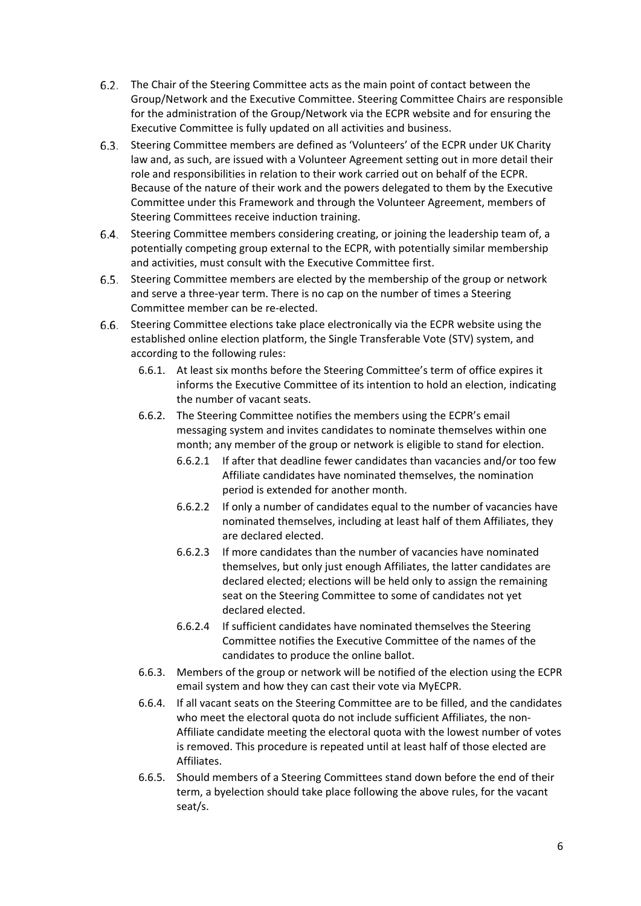- The Chair of the Steering Committee acts as the main point of contact between the Group/Network and the Executive Committee. Steering Committee Chairs are responsible for the administration of the Group/Network via the ECPR website and for ensuring the Executive Committee is fully updated on all activities and business.
- Steering Committee members are defined as 'Volunteers' of the ECPR under UK Charity 6.3. law and, as such, are issued with a Volunteer Agreement setting out in more detail their role and responsibilities in relation to their work carried out on behalf of the ECPR. Because of the nature of their work and the powers delegated to them by the Executive Committee under this Framework and through the Volunteer Agreement, members of Steering Committees receive induction training.
- Steering Committee members considering creating, or joining the leadership team of, a 6.4. potentially competing group external to the ECPR, with potentially similar membership and activities, must consult with the Executive Committee first.
- Steering Committee members are elected by the membership of the group or network 6.5. and serve a three‐year term. There is no cap on the number of times a Steering Committee member can be re‐elected.
- Steering Committee elections take place electronically via the ECPR website using the established online election platform, the Single Transferable Vote (STV) system, and according to the following rules:
	- 6.6.1. At least six months before the Steering Committee's term of office expires it informs the Executive Committee of its intention to hold an election, indicating the number of vacant seats.
	- 6.6.2. The Steering Committee notifies the members using the ECPR's email messaging system and invites candidates to nominate themselves within one month; any member of the group or network is eligible to stand for election.
		- 6.6.2.1 If after that deadline fewer candidates than vacancies and/or too few Affiliate candidates have nominated themselves, the nomination period is extended for another month.
		- 6.6.2.2 If only a number of candidates equal to the number of vacancies have nominated themselves, including at least half of them Affiliates, they are declared elected.
		- 6.6.2.3 If more candidates than the number of vacancies have nominated themselves, but only just enough Affiliates, the latter candidates are declared elected; elections will be held only to assign the remaining seat on the Steering Committee to some of candidates not yet declared elected.
		- 6.6.2.4 If sufficient candidates have nominated themselves the Steering Committee notifies the Executive Committee of the names of the candidates to produce the online ballot.
	- 6.6.3. Members of the group or network will be notified of the election using the ECPR email system and how they can cast their vote via MyECPR.
	- 6.6.4. If all vacant seats on the Steering Committee are to be filled, and the candidates who meet the electoral quota do not include sufficient Affiliates, the non-Affiliate candidate meeting the electoral quota with the lowest number of votes is removed. This procedure is repeated until at least half of those elected are Affiliates.
	- 6.6.5. Should members of a Steering Committees stand down before the end of their term, a byelection should take place following the above rules, for the vacant seat/s.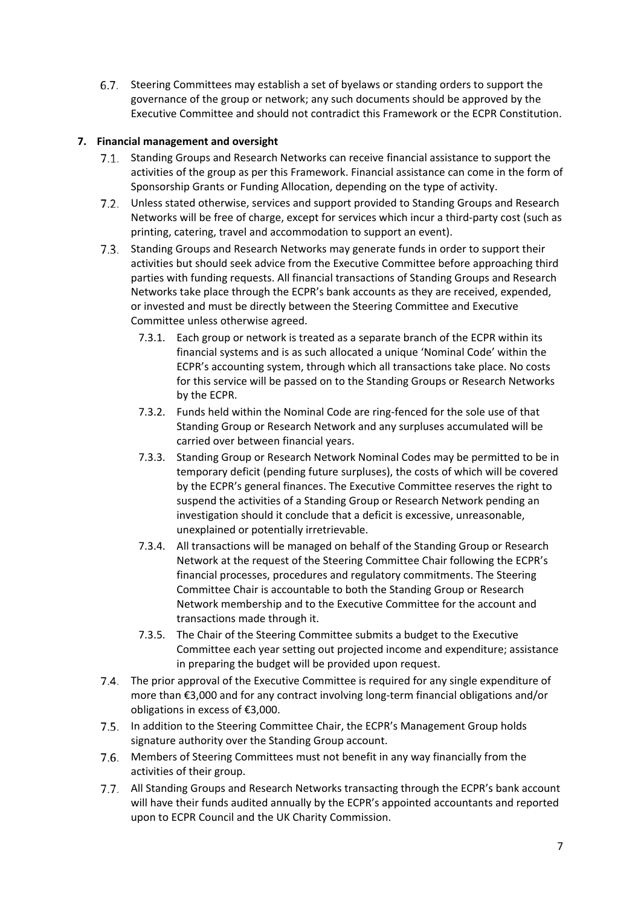Steering Committees may establish a set of byelaws or standing orders to support the governance of the group or network; any such documents should be approved by the Executive Committee and should not contradict this Framework or the ECPR Constitution.

# **7. Financial management and oversight**

- Standing Groups and Research Networks can receive financial assistance to support the activities of the group as per this Framework. Financial assistance can come in the form of Sponsorship Grants or Funding Allocation, depending on the type of activity.
- Unless stated otherwise, services and support provided to Standing Groups and Research Networks will be free of charge, except for services which incur a third‐party cost (such as printing, catering, travel and accommodation to support an event).
- 7.3. Standing Groups and Research Networks may generate funds in order to support their activities but should seek advice from the Executive Committee before approaching third parties with funding requests. All financial transactions of Standing Groups and Research Networks take place through the ECPR's bank accounts as they are received, expended, or invested and must be directly between the Steering Committee and Executive Committee unless otherwise agreed.
	- 7.3.1. Each group or network is treated as a separate branch of the ECPR within its financial systems and is as such allocated a unique 'Nominal Code' within the ECPR's accounting system, through which all transactions take place. No costs for this service will be passed on to the Standing Groups or Research Networks by the ECPR.
	- 7.3.2. Funds held within the Nominal Code are ring-fenced for the sole use of that Standing Group or Research Network and any surpluses accumulated will be carried over between financial years.
	- 7.3.3. Standing Group or Research Network Nominal Codes may be permitted to be in temporary deficit (pending future surpluses), the costs of which will be covered by the ECPR's general finances. The Executive Committee reserves the right to suspend the activities of a Standing Group or Research Network pending an investigation should it conclude that a deficit is excessive, unreasonable, unexplained or potentially irretrievable.
	- 7.3.4. All transactions will be managed on behalf of the Standing Group or Research Network at the request of the Steering Committee Chair following the ECPR's financial processes, procedures and regulatory commitments. The Steering Committee Chair is accountable to both the Standing Group or Research Network membership and to the Executive Committee for the account and transactions made through it.
	- 7.3.5. The Chair of the Steering Committee submits a budget to the Executive Committee each year setting out projected income and expenditure; assistance in preparing the budget will be provided upon request.
- The prior approval of the Executive Committee is required for any single expenditure of more than €3,000 and for any contract involving long‐term financial obligations and/or obligations in excess of €3,000.
- 7.5. In addition to the Steering Committee Chair, the ECPR's Management Group holds signature authority over the Standing Group account.
- Members of Steering Committees must not benefit in any way financially from the activities of their group.
- 7.7. All Standing Groups and Research Networks transacting through the ECPR's bank account will have their funds audited annually by the ECPR's appointed accountants and reported upon to ECPR Council and the UK Charity Commission.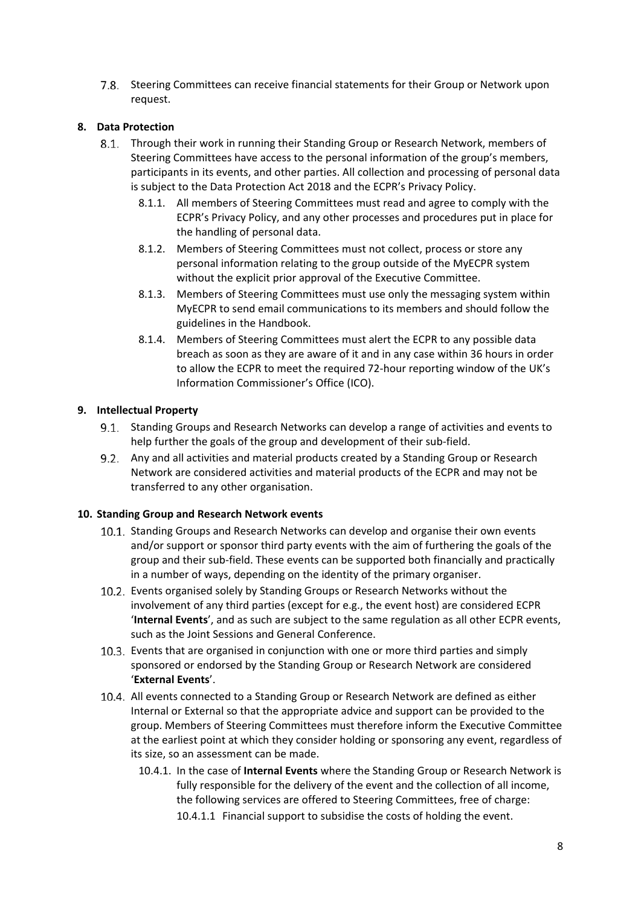Steering Committees can receive financial statements for their Group or Network upon request.

# **8. Data Protection**

- Through their work in running their Standing Group or Research Network, members of Steering Committees have access to the personal information of the group's members, participants in its events, and other parties. All collection and processing of personal data is subject to the Data Protection Act 2018 and the ECPR's Privacy Policy.
	- 8.1.1. All members of Steering Committees must read and agree to comply with the ECPR's Privacy Policy, and any other processes and procedures put in place for the handling of personal data.
	- 8.1.2. Members of Steering Committees must not collect, process or store any personal information relating to the group outside of the MyECPR system without the explicit prior approval of the Executive Committee.
	- 8.1.3. Members of Steering Committees must use only the messaging system within MyECPR to send email communications to its members and should follow the guidelines in the Handbook.
	- 8.1.4. Members of Steering Committees must alert the ECPR to any possible data breach as soon as they are aware of it and in any case within 36 hours in order to allow the ECPR to meet the required 72‐hour reporting window of the UK's Information Commissioner's Office (ICO).

### **9. Intellectual Property**

- Standing Groups and Research Networks can develop a range of activities and events to help further the goals of the group and development of their sub-field.
- $9.2.$ Any and all activities and material products created by a Standing Group or Research Network are considered activities and material products of the ECPR and may not be transferred to any other organisation.

## **10. Standing Group and Research Network events**

- 10.1. Standing Groups and Research Networks can develop and organise their own events and/or support or sponsor third party events with the aim of furthering the goals of the group and their sub‐field. These events can be supported both financially and practically in a number of ways, depending on the identity of the primary organiser.
- 10.2. Events organised solely by Standing Groups or Research Networks without the involvement of any third parties (except for e.g., the event host) are considered ECPR '**Internal Events**', and as such are subject to the same regulation as all other ECPR events, such as the Joint Sessions and General Conference.
- 10.3. Events that are organised in conjunction with one or more third parties and simply sponsored or endorsed by the Standing Group or Research Network are considered '**External Events**'.
- All events connected to a Standing Group or Research Network are defined as either Internal or External so that the appropriate advice and support can be provided to the group. Members of Steering Committees must therefore inform the Executive Committee at the earliest point at which they consider holding or sponsoring any event, regardless of its size, so an assessment can be made.
	- 10.4.1. In the case of **Internal Events** where the Standing Group or Research Network is fully responsible for the delivery of the event and the collection of all income, the following services are offered to Steering Committees, free of charge:

10.4.1.1 Financial support to subsidise the costs of holding the event.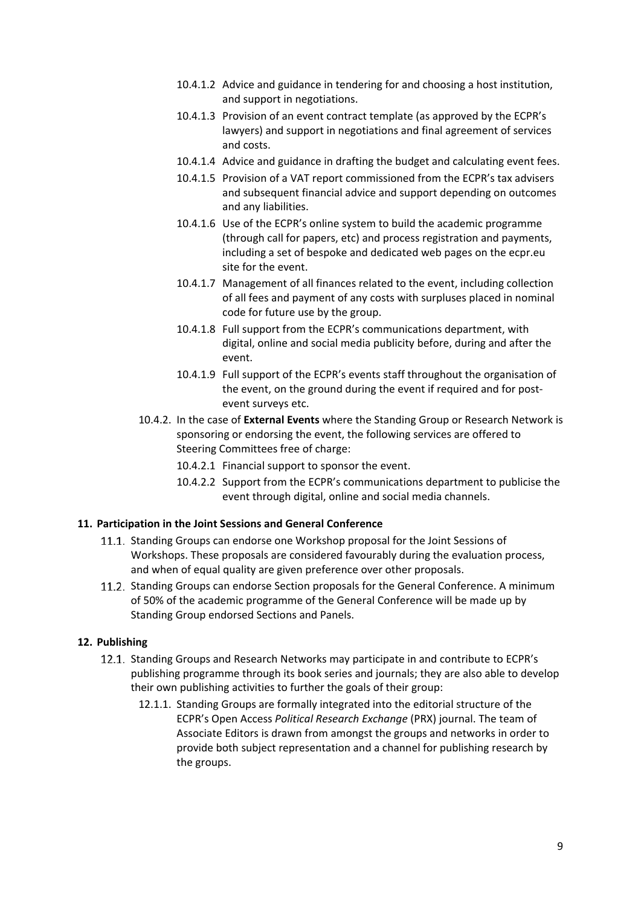- 10.4.1.2 Advice and guidance in tendering for and choosing a host institution, and support in negotiations.
- 10.4.1.3 Provision of an event contract template (as approved by the ECPR's lawyers) and support in negotiations and final agreement of services and costs.
- 10.4.1.4 Advice and guidance in drafting the budget and calculating event fees.
- 10.4.1.5 Provision of a VAT report commissioned from the ECPR's tax advisers and subsequent financial advice and support depending on outcomes and any liabilities.
- 10.4.1.6 Use of the ECPR's online system to build the academic programme (through call for papers, etc) and process registration and payments, including a set of bespoke and dedicated web pages on the ecpr.eu site for the event.
- 10.4.1.7 Management of all finances related to the event, including collection of all fees and payment of any costs with surpluses placed in nominal code for future use by the group.
- 10.4.1.8 Full support from the ECPR's communications department, with digital, online and social media publicity before, during and after the event.
- 10.4.1.9 Full support of the ECPR's events staff throughout the organisation of the event, on the ground during the event if required and for postevent surveys etc.
- 10.4.2. In the case of **External Events** where the Standing Group or Research Network is sponsoring or endorsing the event, the following services are offered to Steering Committees free of charge:
	- 10.4.2.1 Financial support to sponsor the event.
	- 10.4.2.2 Support from the ECPR's communications department to publicise the event through digital, online and social media channels.

#### **11. Participation in the Joint Sessions and General Conference**

- 11.1. Standing Groups can endorse one Workshop proposal for the Joint Sessions of Workshops. These proposals are considered favourably during the evaluation process, and when of equal quality are given preference over other proposals.
- 11.2. Standing Groups can endorse Section proposals for the General Conference. A minimum of 50% of the academic programme of the General Conference will be made up by Standing Group endorsed Sections and Panels.

#### **12. Publishing**

- 12.1. Standing Groups and Research Networks may participate in and contribute to ECPR's publishing programme through its book series and journals; they are also able to develop their own publishing activities to further the goals of their group:
	- 12.1.1. Standing Groups are formally integrated into the editorial structure of the ECPR's Open Access *Political Research Exchange* (PRX) journal. The team of Associate Editors is drawn from amongst the groups and networks in order to provide both subject representation and a channel for publishing research by the groups.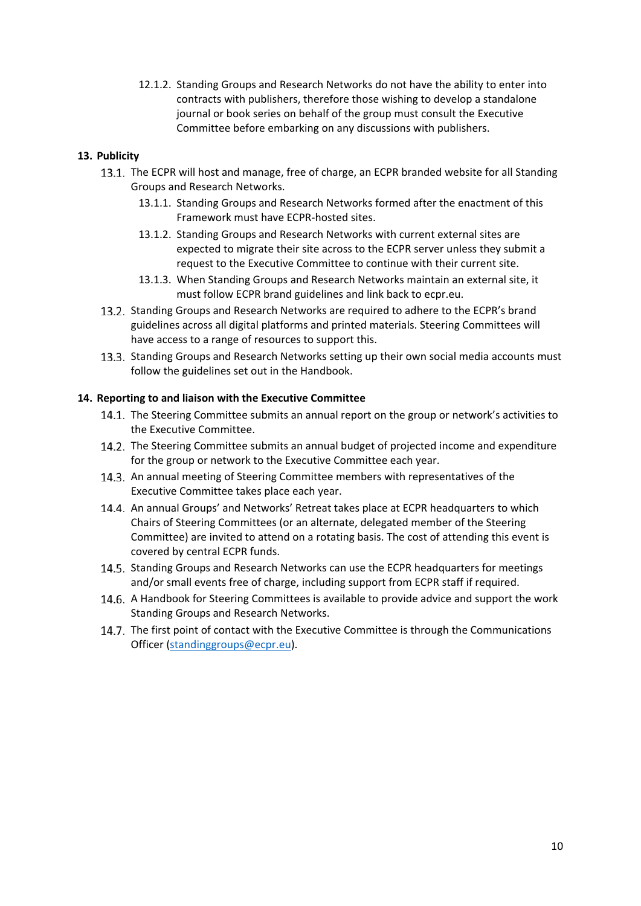12.1.2. Standing Groups and Research Networks do not have the ability to enter into contracts with publishers, therefore those wishing to develop a standalone journal or book series on behalf of the group must consult the Executive Committee before embarking on any discussions with publishers.

## **13. Publicity**

- 13.1. The ECPR will host and manage, free of charge, an ECPR branded website for all Standing Groups and Research Networks.
	- 13.1.1. Standing Groups and Research Networks formed after the enactment of this Framework must have ECPR‐hosted sites.
	- 13.1.2. Standing Groups and Research Networks with current external sites are expected to migrate their site across to the ECPR server unless they submit a request to the Executive Committee to continue with their current site.
	- 13.1.3. When Standing Groups and Research Networks maintain an external site, it must follow ECPR brand guidelines and link back to ecpr.eu.
- 13.2. Standing Groups and Research Networks are required to adhere to the ECPR's brand guidelines across all digital platforms and printed materials. Steering Committees will have access to a range of resources to support this.
- 13.3. Standing Groups and Research Networks setting up their own social media accounts must follow the guidelines set out in the Handbook.

#### **14. Reporting to and liaison with the Executive Committee**

- 14.1. The Steering Committee submits an annual report on the group or network's activities to the Executive Committee.
- 14.2. The Steering Committee submits an annual budget of projected income and expenditure for the group or network to the Executive Committee each year.
- 14.3. An annual meeting of Steering Committee members with representatives of the Executive Committee takes place each year.
- 14.4. An annual Groups' and Networks' Retreat takes place at ECPR headquarters to which Chairs of Steering Committees (or an alternate, delegated member of the Steering Committee) are invited to attend on a rotating basis. The cost of attending this event is covered by central ECPR funds.
- 14.5. Standing Groups and Research Networks can use the ECPR headquarters for meetings and/or small events free of charge, including support from ECPR staff if required.
- A Handbook for Steering Committees is available to provide advice and support the work Standing Groups and Research Networks.
- 14.7. The first point of contact with the Executive Committee is through the Communications Officer (standinggroups@ecpr.eu).